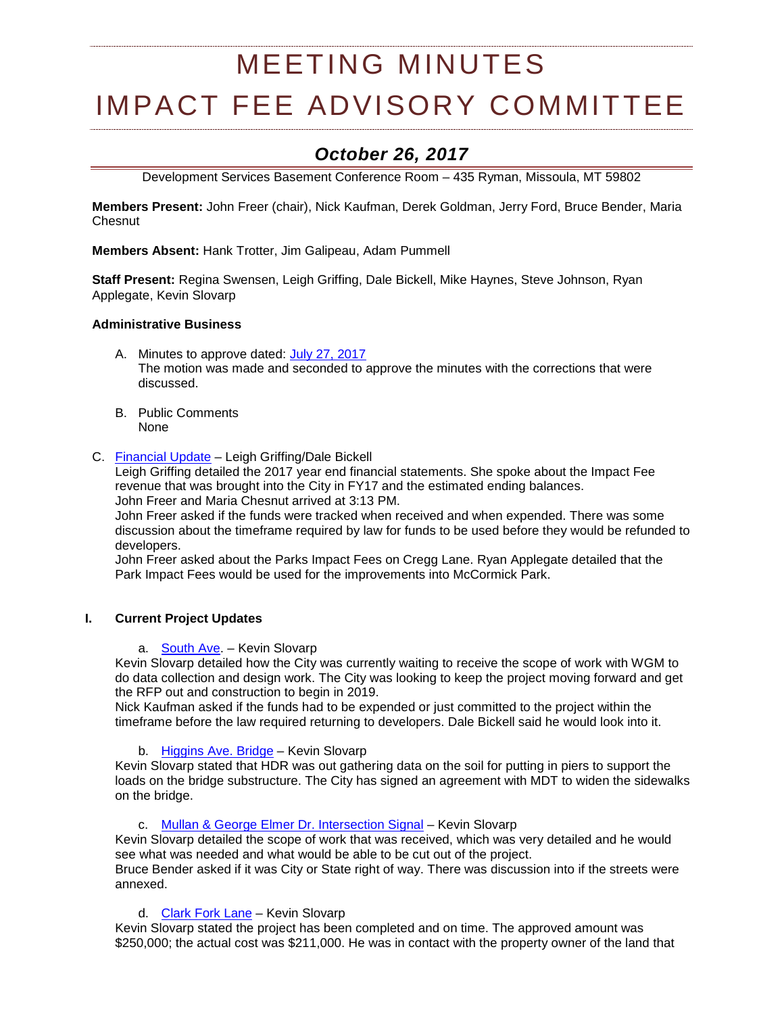# MEETING MINUTES

# IMPACT FEE ADVISORY COMMITTEE

# *October 26, 2017*

Development Services Basement Conference Room – 435 Ryman, Missoula, MT 59802

**Members Present:** John Freer (chair), Nick Kaufman, Derek Goldman, Jerry Ford, Bruce Bender, Maria Chesnut

**Members Absent:** Hank Trotter, Jim Galipeau, Adam Pummell

**Staff Present:** Regina Swensen, Leigh Griffing, Dale Bickell, Mike Haynes, Steve Johnson, Ryan Applegate, Kevin Slovarp

# **Administrative Business**

- A. Minutes to approve dated: [July 27, 2017](http://ci.missoula.mt.us/Archive.aspx?ADID=11708) The motion was made and seconded to approve the minutes with the corrections that were discussed.
- B. Public Comments None
- C. [Financial Update](https://www.ci.missoula.mt.us/DocumentCenter/View/41457) Leigh Griffing/Dale Bickell

Leigh Griffing detailed the 2017 year end financial statements. She spoke about the Impact Fee revenue that was brought into the City in FY17 and the estimated ending balances. John Freer and Maria Chesnut arrived at 3:13 PM.

John Freer asked if the funds were tracked when received and when expended. There was some discussion about the timeframe required by law for funds to be used before they would be refunded to developers.

John Freer asked about the Parks Impact Fees on Cregg Lane. Ryan Applegate detailed that the Park Impact Fees would be used for the improvements into McCormick Park.

#### **I. Current Project Updates**

a. [South Ave.](https://www.ci.missoula.mt.us/DocumentCenter/View/39239) – Kevin Slovarp

Kevin Slovarp detailed how the City was currently waiting to receive the scope of work with WGM to do data collection and design work. The City was looking to keep the project moving forward and get the RFP out and construction to begin in 2019.

Nick Kaufman asked if the funds had to be expended or just committed to the project within the timeframe before the law required returning to developers. Dale Bickell said he would look into it.

# b. [Higgins Ave. Bridge](https://www.ci.missoula.mt.us/DocumentCenter/View/33695) - Kevin Slovarp

Kevin Slovarp stated that HDR was out gathering data on the soil for putting in piers to support the loads on the bridge substructure. The City has signed an agreement with MDT to widen the sidewalks on the bridge.

c. [Mullan & George Elmer Dr. Intersection Signal](https://www.ci.missoula.mt.us/DocumentCenter/View/39234) – Kevin Slovarp

Kevin Slovarp detailed the scope of work that was received, which was very detailed and he would see what was needed and what would be able to be cut out of the project.

Bruce Bender asked if it was City or State right of way. There was discussion into if the streets were annexed.

d. [Clark Fork Lane](https://www.ci.missoula.mt.us/DocumentCenter/View/33834) - Kevin Slovarp

Kevin Slovarp stated the project has been completed and on time. The approved amount was \$250,000; the actual cost was \$211,000. He was in contact with the property owner of the land that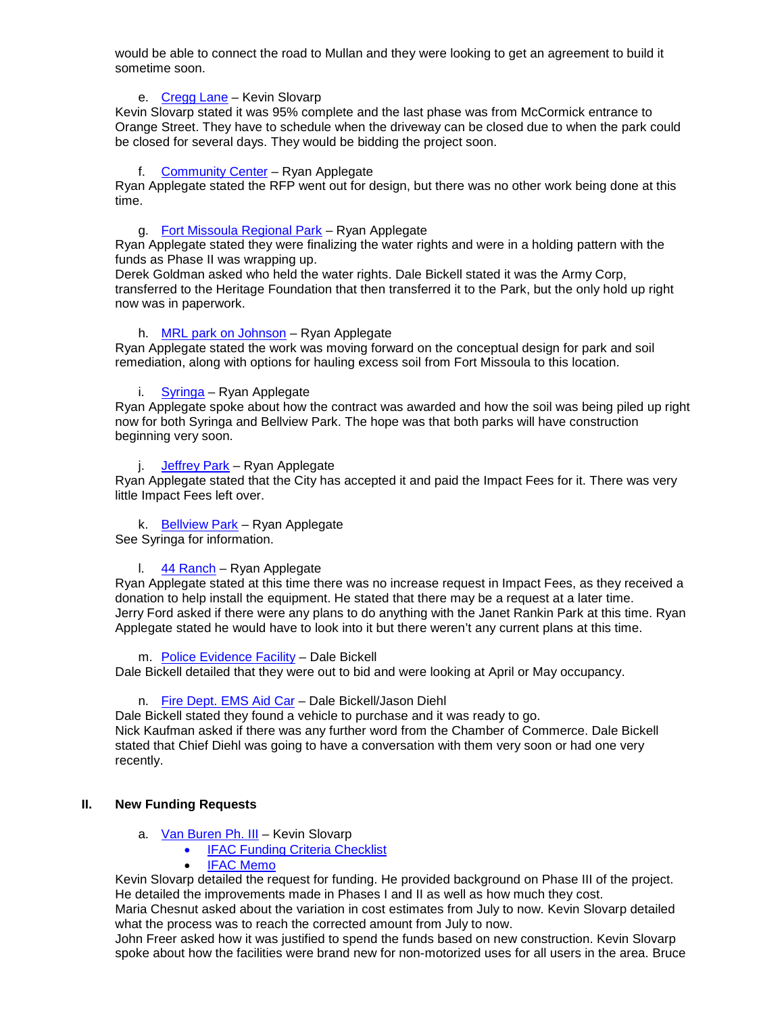would be able to connect the road to Mullan and they were looking to get an agreement to build it sometime soon.

#### e. [Cregg Lane](https://www.ci.missoula.mt.us/DocumentCenter/View/41366) – Kevin Slovarp

Kevin Slovarp stated it was 95% complete and the last phase was from McCormick entrance to Orange Street. They have to schedule when the driveway can be closed due to when the park could be closed for several days. They would be bidding the project soon.

# f. [Community Center](https://www.ci.missoula.mt.us/DocumentCenter/View/33701) – Ryan Applegate

Ryan Applegate stated the RFP went out for design, but there was no other work being done at this time.

# g. [Fort Missoula Regional Park](https://www.ci.missoula.mt.us/DocumentCenter/View/33800) – Ryan Applegate

Ryan Applegate stated they were finalizing the water rights and were in a holding pattern with the funds as Phase II was wrapping up.

Derek Goldman asked who held the water rights. Dale Bickell stated it was the Army Corp, transferred to the Heritage Foundation that then transferred it to the Park, but the only hold up right now was in paperwork.

# h. [MRL park on Johnson](https://www.ci.missoula.mt.us/DocumentCenter/View/40360) – Ryan Applegate

Ryan Applegate stated the work was moving forward on the conceptual design for park and soil remediation, along with options for hauling excess soil from Fort Missoula to this location.

# i. [Syringa](https://www.ci.missoula.mt.us/DocumentCenter/View/40362) – Ryan Applegate

Ryan Applegate spoke about how the contract was awarded and how the soil was being piled up right now for both Syringa and Bellview Park. The hope was that both parks will have construction beginning very soon.

#### [Jeffrey Park](https://www.ci.missoula.mt.us/DocumentCenter/View/41367) – Ryan Applegate

Ryan Applegate stated that the City has accepted it and paid the Impact Fees for it. There was very little Impact Fees left over.

#### k. [Bellview](http://mt-missoula2.civicplus.com/DocumentCenter/View/32600) Park – Ryan Applegate

See Syringa for information.

#### l. [44 Ranch](https://www.ci.missoula.mt.us/DocumentCenter/View/41368) – Ryan Applegate

Ryan Applegate stated at this time there was no increase request in Impact Fees, as they received a donation to help install the equipment. He stated that there may be a request at a later time. Jerry Ford asked if there were any plans to do anything with the Janet Rankin Park at this time. Ryan Applegate stated he would have to look into it but there weren't any current plans at this time.

m. [Police Evidence Facility](https://www.ci.missoula.mt.us/DocumentCenter/View/39225) – Dale Bickell

Dale Bickell detailed that they were out to bid and were looking at April or May occupancy.

#### n. [Fire Dept. EMS Aid Car](https://www.ci.missoula.mt.us/DocumentCenter/View/40364) – Dale Bickell/Jason Diehl

Dale Bickell stated they found a vehicle to purchase and it was ready to go. Nick Kaufman asked if there was any further word from the Chamber of Commerce. Dale Bickell stated that Chief Diehl was going to have a conversation with them very soon or had one very recently.

#### **II. New Funding Requests**

- a. [Van Buren](https://www.ci.missoula.mt.us/DocumentCenter/View/40363) Ph. III Kevin Slovarp
	- [IFAC Funding Criteria Checklist](https://www.ci.missoula.mt.us/DocumentCenter/View/41372)
	- **[IFAC Memo](https://www.ci.missoula.mt.us/DocumentCenter/View/41371)**

Kevin Slovarp detailed the request for funding. He provided background on Phase III of the project. He detailed the improvements made in Phases I and II as well as how much they cost.

Maria Chesnut asked about the variation in cost estimates from July to now. Kevin Slovarp detailed what the process was to reach the corrected amount from July to now.

John Freer asked how it was justified to spend the funds based on new construction. Kevin Slovarp spoke about how the facilities were brand new for non-motorized uses for all users in the area. Bruce